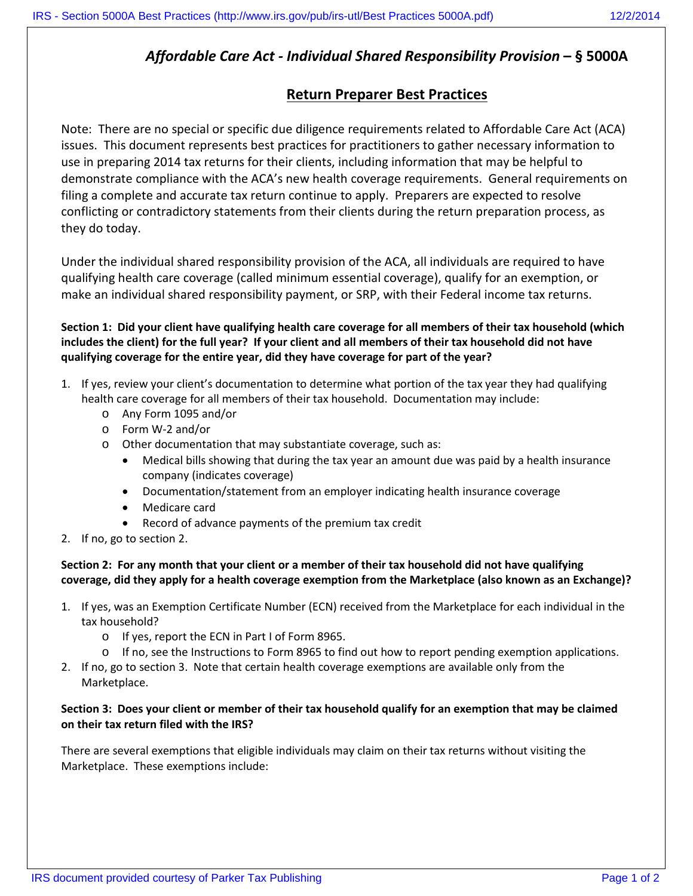## *Affordable Care Act - Individual Shared Responsibility Provision* **– § 5000A**

## **Return Preparer Best Practices**

Note: There are no special or specific due diligence requirements related to Affordable Care Act (ACA) issues. This document represents best practices for practitioners to gather necessary information to use in preparing 2014 tax returns for their clients, including information that may be helpful to demonstrate compliance with the ACA's new health coverage requirements. General requirements on filing a complete and accurate tax return continue to apply. Preparers are expected to resolve conflicting or contradictory statements from their clients during the return preparation process, as they do today.

Under the individual shared responsibility provision of the ACA, all individuals are required to have qualifying health care coverage (called minimum essential coverage), qualify for an exemption, or make an individual shared responsibility payment, or SRP, with their Federal income tax returns.

**Section 1: Did your client have qualifying health care coverage for all members of their tax household (which includes the client) for the full year? If your client and all members of their tax household did not have qualifying coverage for the entire year, did they have coverage for part of the year?**

- 1. If yes, review your client's documentation to determine what portion of the tax year they had qualifying health care coverage for all members of their tax household. Documentation may include:
	- o Any Form 1095 and/or
	- o Form W-2 and/or
	- o Other documentation that may substantiate coverage, such as:
		- Medical bills showing that during the tax year an amount due was paid by a health insurance company (indicates coverage)
		- Documentation/statement from an employer indicating health insurance coverage
		- Medicare card
		- Record of advance payments of the premium tax credit
- 2. If no, go to section 2.

**Section 2: For any month that your client or a member of their tax household did not have qualifying coverage, did they apply for a health coverage exemption from the Marketplace (also known as an Exchange)?** 

- 1. If yes, was an Exemption Certificate Number (ECN) received from the Marketplace for each individual in the tax household?
	- o If yes, report the ECN in Part I of Form 8965.
	- o If no, see the Instructions to Form 8965 to find out how to report pending exemption applications.
- 2. If no, go to section 3. Note that certain health coverage exemptions are available only from the Marketplace.

## **Section 3: Does your client or member of their tax household qualify for an exemption that may be claimed on their tax return filed with the IRS?**

There are several exemptions that eligible individuals may claim on their tax returns without visiting the Marketplace. These exemptions include: